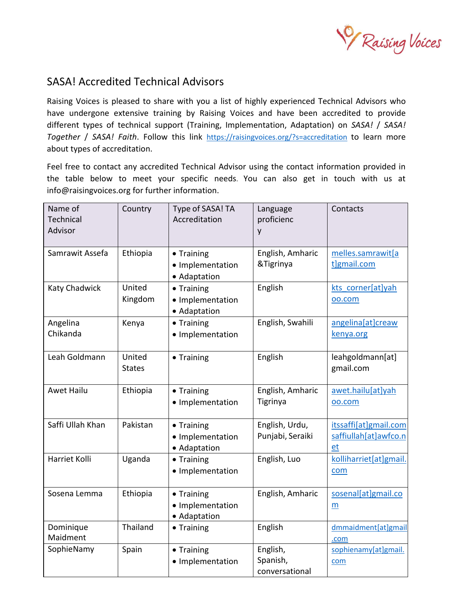P/ Raising Voices

## SASA! Accredited Technical Advisors

Raising Voices is pleased to share with you a list of highly experienced Technical Advisors who have undergone extensive training by Raising Voices and have been accredited to provide different types of technical support (Training, Implementation, Adaptation) on *SASA!* / *SASA! Together* / *SASA! Faith*. Follow this link <https://raisingvoices.org/?s=accreditation> to learn more about types of accreditation.

Feel free to contact any accredited Technical Advisor using the contact information provided in the table below to meet your specific needs. You can also get in touch with us at [info@raisingvoices.org](mailto:info@raisingvoices.org) for further information.

| Name of<br>Technical<br>Advisor | Country                 | Type of SASA! TA<br>Accreditation              | Language<br>proficienc<br>y            | Contacts                                             |
|---------------------------------|-------------------------|------------------------------------------------|----------------------------------------|------------------------------------------------------|
| Samrawit Assefa                 | Ethiopia                | • Training<br>· Implementation<br>• Adaptation | English, Amharic<br>&Tigrinya          | melles.samrawit[a<br>t]gmail.com                     |
| Katy Chadwick                   | United<br>Kingdom       | • Training<br>· Implementation<br>• Adaptation | English                                | kts corner[at]yah<br>oo.com                          |
| Angelina<br>Chikanda            | Kenya                   | • Training<br>· Implementation                 | English, Swahili                       | angelina[at]creaw<br>kenya.org                       |
| Leah Goldmann                   | United<br><b>States</b> | • Training                                     | English                                | leahgoldmann[at]<br>gmail.com                        |
| <b>Awet Hailu</b>               | Ethiopia                | • Training<br>· Implementation                 | English, Amharic<br>Tigrinya           | awet.hailu[at]yah<br>00.com                          |
| Saffi Ullah Khan                | Pakistan                | • Training<br>· Implementation<br>• Adaptation | English, Urdu,<br>Punjabi, Seraiki     | itssaffi[at]gmail.com<br>saffiullah[at]awfco.n<br>et |
| Harriet Kolli                   | Uganda                  | • Training<br>· Implementation                 | English, Luo                           | kolliharriet[at]gmail.<br>com                        |
| Sosena Lemma                    | Ethiopia                | • Training<br>· Implementation<br>• Adaptation | English, Amharic                       | sosenal[at]gmail.co<br>m                             |
| Dominique<br>Maidment           | Thailand                | • Training                                     | English                                | dmmaidment[at]gmail<br>.com                          |
| SophieNamy                      | Spain                   | • Training<br>· Implementation                 | English,<br>Spanish,<br>conversational | sophienamy[at]gmail.<br>com                          |